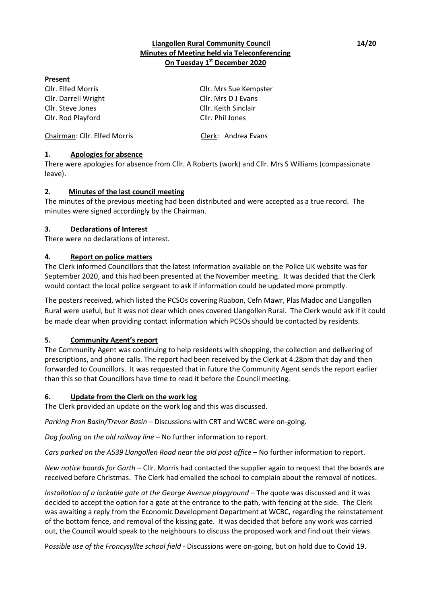### **Llangollen Rural Community Council 14/20 Minutes of Meeting held via Teleconferencing On Tuesday 1 st December 2020**

#### **Present**

Cllr. Darrell Wright Cllr. Mrs D J Evans Cllr. Steve Jones Cllr. Keith Sinclair Cllr. Rod Playford Cllr. Phil Jones

Cllr. Elfed Morris Cllr. Mrs Sue Kempster

Chairman: Cllr. Elfed Morris Clerk: Andrea Evans

## **1. Apologies for absence**

There were apologies for absence from Cllr. A Roberts (work) and Cllr. Mrs S Williams (compassionate leave).

### **2. Minutes of the last council meeting**

The minutes of the previous meeting had been distributed and were accepted as a true record. The minutes were signed accordingly by the Chairman.

## **3. Declarations of Interest**

There were no declarations of interest.

### **4. Report on police matters**

The Clerk informed Councillors that the latest information available on the Police UK website was for September 2020, and this had been presented at the November meeting. It was decided that the Clerk would contact the local police sergeant to ask if information could be updated more promptly.

The posters received, which listed the PCSOs covering Ruabon, Cefn Mawr, Plas Madoc and Llangollen Rural were useful, but it was not clear which ones covered Llangollen Rural. The Clerk would ask if it could be made clear when providing contact information which PCSOs should be contacted by residents.

### **5. Community Agent's report**

The Community Agent was continuing to help residents with shopping, the collection and delivering of prescriptions, and phone calls. The report had been received by the Clerk at 4.28pm that day and then forwarded to Councillors. It was requested that in future the Community Agent sends the report earlier than this so that Councillors have time to read it before the Council meeting.

### **6. Update from the Clerk on the work log**

The Clerk provided an update on the work log and this was discussed.

*Parking Fron Basin/Trevor Basin* – Discussions with CRT and WCBC were on-going.

*Dog fouling on the old railway line* – No further information to report.

*Cars parked on the A539 Llangollen Road near the old post office* – No further information to report.

*New notice boards for Garth* – Cllr. Morris had contacted the supplier again to request that the boards are received before Christmas. The Clerk had emailed the school to complain about the removal of notices.

*Installation of a lockable gate at the George Avenue playground* – The quote was discussed and it was decided to accept the option for a gate at the entrance to the path, with fencing at the side. The Clerk was awaiting a reply from the Economic Development Department at WCBC, regarding the reinstatement of the bottom fence, and removal of the kissing gate. It was decided that before any work was carried out, the Council would speak to the neighbours to discuss the proposed work and find out their views.

P*ossible use of the Froncysyllte school field* - Discussions were on-going, but on hold due to Covid 19.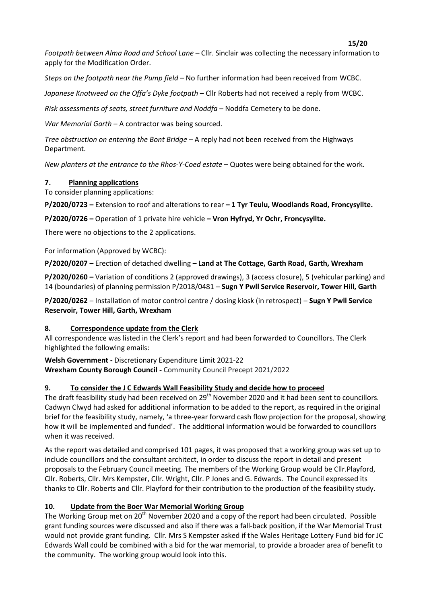**15/20**

*Footpath between Alma Road and School Lane* – Cllr. Sinclair was collecting the necessary information to apply for the Modification Order.

*Steps on the footpath near the Pump field* – No further information had been received from WCBC.

*Japanese Knotweed on the Offa's Dyke footpath* – Cllr Roberts had not received a reply from WCBC.

*Risk assessments of seats, street furniture and Noddfa –* Noddfa Cemetery to be done.

*War Memorial Garth* – A contractor was being sourced.

*Tree obstruction on entering the Bont Bridge* – A reply had not been received from the Highways Department.

*New planters at the entrance to the Rhos-Y-Coed estate* – Quotes were being obtained for the work.

### **7. Planning applications**

To consider planning applications:

**P/2020/0723 –** Extension to roof and alterations to rear **– 1 Tyr Teulu, Woodlands Road, Froncysyllte.**

**P/2020/0726 –** Operation of 1 private hire vehicle **– Vron Hyfryd, Yr Ochr, Froncysyllte.**

There were no objections to the 2 applications.

For information (Approved by WCBC):

**P/2020/0207** – Erection of detached dwelling – **Land at The Cottage, Garth Road, Garth, Wrexham**

**P/2020/0260 –** Variation of conditions 2 (approved drawings), 3 (access closure), 5 (vehicular parking) and 14 (boundaries) of planning permission P/2018/0481 – **Sugn Y Pwll Service Reservoir, Tower Hill, Garth**

**P/2020/0262** – Installation of motor control centre / dosing kiosk (in retrospect) – **Sugn Y Pwll Service Reservoir, Tower Hill, Garth, Wrexham**

### **8. Correspondence update from the Clerk**

All correspondence was listed in the Clerk's report and had been forwarded to Councillors. The Clerk highlighted the following emails:

**Welsh Government -** Discretionary Expenditure Limit 2021-22 **Wrexham County Borough Council -** Community Council Precept 2021/2022

### **9. To consider the J C Edwards Wall Feasibility Study and decide how to proceed**

The draft feasibility study had been received on 29<sup>th</sup> November 2020 and it had been sent to councillors. Cadwyn Clwyd had asked for additional information to be added to the report, as required in the original brief for the feasibility study, namely, 'a three-year forward cash flow projection for the proposal, showing how it will be implemented and funded'. The additional information would be forwarded to councillors when it was received.

As the report was detailed and comprised 101 pages, it was proposed that a working group was set up to include councillors and the consultant architect, in order to discuss the report in detail and present proposals to the February Council meeting. The members of the Working Group would be Cllr.Playford, Cllr. Roberts, Cllr. Mrs Kempster, Cllr. Wright, Cllr. P Jones and G. Edwards. The Council expressed its thanks to Cllr. Roberts and Cllr. Playford for their contribution to the production of the feasibility study.

## **10. Update from the Boer War Memorial Working Group**

The Working Group met on 20<sup>th</sup> November 2020 and a copy of the report had been circulated. Possible grant funding sources were discussed and also if there was a fall-back position, if the War Memorial Trust would not provide grant funding. Cllr. Mrs S Kempster asked if the Wales Heritage Lottery Fund bid for JC Edwards Wall could be combined with a bid for the war memorial, to provide a broader area of benefit to the community. The working group would look into this.